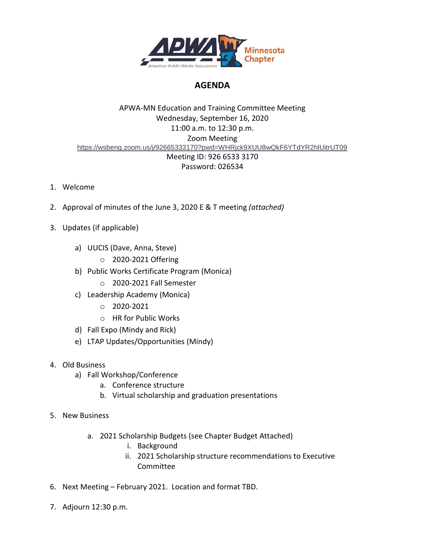

# **AGENDA**

## APWA-MN Education and Training Committee Meeting Wednesday, September 16, 2020 11:00 a.m. to 12:30 p.m. Zoom Meeting <https://wsbeng.zoom.us/j/92665333170?pwd=WHRjck9XUU8wQkF6YTdYR2hlUitrUT09> Meeting ID: 926 6533 3170 Password: 026534

- 1. Welcome
- 2. Approval of minutes of the June 3, 2020 E & T meeting *(attached)*
- 3. Updates (if applicable)
	- a) UUCIS (Dave, Anna, Steve)
		- o 2020-2021 Offering
	- b) Public Works Certificate Program (Monica)
		- o 2020-2021 Fall Semester
	- c) Leadership Academy (Monica)
		- o 2020-2021
		- o HR for Public Works
	- d) Fall Expo (Mindy and Rick)
	- e) LTAP Updates/Opportunities (Mindy)
- 4. Old Business
	- a) Fall Workshop/Conference
		- a. Conference structure
		- b. Virtual scholarship and graduation presentations
- 5. New Business
	- a. 2021 Scholarship Budgets (see Chapter Budget Attached)
		- i. Background
		- ii. 2021 Scholarship structure recommendations to Executive Committee
- 6. Next Meeting February 2021. Location and format TBD.
- 7. Adjourn 12:30 p.m.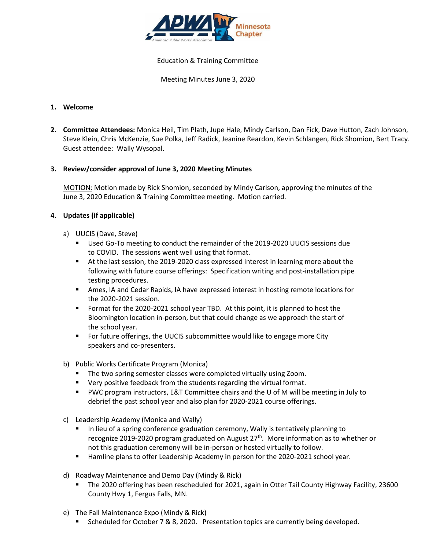

#### Education & Training Committee

Meeting Minutes June 3, 2020

### **1. Welcome**

**2. Committee Attendees:** Monica Heil, Tim Plath, Jupe Hale, Mindy Carlson, Dan Fick, Dave Hutton, Zach Johnson, Steve Klein, Chris McKenzie, Sue Polka, Jeff Radick, Jeanine Reardon, Kevin Schlangen, Rick Shomion, Bert Tracy. Guest attendee: Wally Wysopal.

#### **3. Review/consider approval of June 3, 2020 Meeting Minutes**

MOTION: Motion made by Rick Shomion, seconded by Mindy Carlson, approving the minutes of the June 3, 2020 Education & Training Committee meeting. Motion carried.

#### **4. Updates (if applicable)**

- a) UUCIS (Dave, Steve)
	- Used Go-To meeting to conduct the remainder of the 2019-2020 UUCIS sessions due to COVID. The sessions went well using that format.
	- At the last session, the 2019-2020 class expressed interest in learning more about the following with future course offerings: Specification writing and post-installation pipe testing procedures.
	- **EXECT** Ames, IA and Cedar Rapids, IA have expressed interest in hosting remote locations for the 2020-2021 session.
	- Format for the 2020-2021 school year TBD. At this point, it is planned to host the Bloomington location in-person, but that could change as we approach the start of the school year.
	- For future offerings, the UUCIS subcommittee would like to engage more City speakers and co-presenters.
- b) Public Works Certificate Program (Monica)
	- **■** The two spring semester classes were completed virtually using Zoom.
	- Very positive feedback from the students regarding the virtual format.
	- PWC program instructors, E&T Committee chairs and the U of M will be meeting in July to debrief the past school year and also plan for 2020-2021 course offerings.
- c) Leadership Academy (Monica and Wally)
	- In lieu of a spring conference graduation ceremony, Wally is tentatively planning to recognize 2019-2020 program graduated on August 27<sup>th</sup>. More information as to whether or not this graduation ceremony will be in-person or hosted virtually to follow.
	- Hamline plans to offer Leadership Academy in person for the 2020-2021 school year.
- d) Roadway Maintenance and Demo Day (Mindy & Rick)
	- The 2020 offering has been rescheduled for 2021, again in Otter Tail County Highway Facility, 23600 County Hwy 1, Fergus Falls, MN.
- e) The Fall Maintenance Expo (Mindy & Rick)
	- Scheduled for October 7 & 8, 2020. Presentation topics are currently being developed.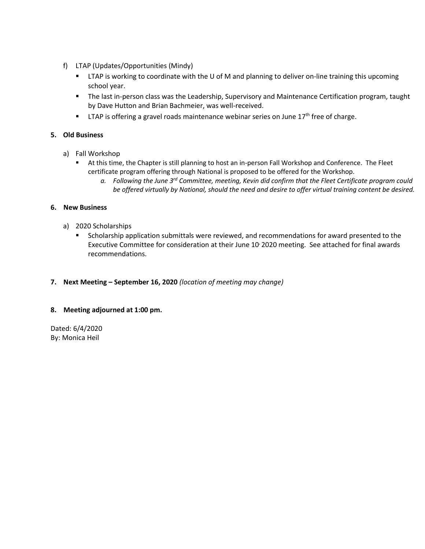- f) LTAP (Updates/Opportunities (Mindy)
	- LTAP is working to coordinate with the U of M and planning to deliver on-line training this upcoming school year.
	- The last in-person class was the Leadership, Supervisory and Maintenance Certification program, taught by Dave Hutton and Brian Bachmeier, was well-received.
	- **■** LTAP is offering a gravel roads maintenance webinar series on June  $17<sup>th</sup>$  free of charge.

### **5. Old Business**

- a) Fall Workshop
	- At this time, the Chapter is still planning to host an in-person Fall Workshop and Conference. The Fleet certificate program offering through National is proposed to be offered for the Workshop.
		- *a. Following the June 3rd Committee, meeting, Kevin did confirm that the Fleet Certificate program could be offered virtually by National, should the need and desire to offer virtual training content be desired.*

#### **6. New Business**

- a) 2020 Scholarships
	- Scholarship application submittals were reviewed, and recommendations for award presented to the Executive Committee for consideration at their June 10 2020 meeting. See attached for final awards recommendations.
- **7. Next Meeting – September 16, 2020** *(location of meeting may change)*

#### **8. Meeting adjourned at 1:00 pm.**

Dated: 6/4/2020 By: Monica Heil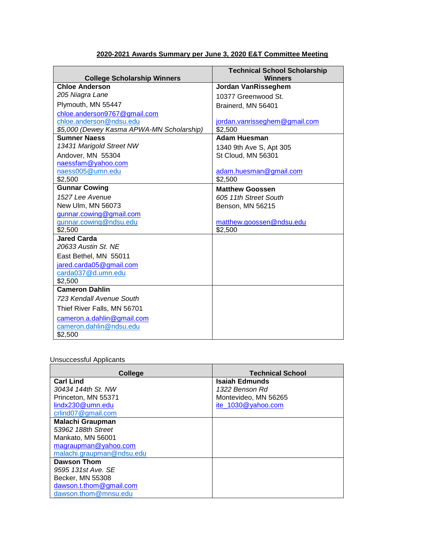### **2020-2021 Awards Summary per June 3, 2020 E&T Committee Meeting**

| <b>College Scholarship Winners</b>        | <b>Technical School Scholarship</b><br><b>Winners</b> |
|-------------------------------------------|-------------------------------------------------------|
| <b>Chloe Anderson</b>                     | <b>Jordan VanRisseghem</b>                            |
| 205 Niagra Lane                           | 10377 Greenwood St.                                   |
| Plymouth, MN 55447                        | Brainerd, MN 56401                                    |
| chloe.anderson9767@gmail.com              |                                                       |
| chloe.anderson@ndsu.edu                   | jordan.vanrisseghem@gmail.com                         |
| \$5,000 (Dewey Kasma APWA-MN Scholarship) | \$2,500                                               |
| <b>Sumner Naess</b>                       | Adam Huesman                                          |
| 13431 Marigold Street NW                  | 1340 9th Ave S, Apt 305                               |
| Andover, MN 55304                         | St Cloud, MN 56301                                    |
| naessfam@yahoo.com                        |                                                       |
| naess005@umn.edu                          | adam.huesman@gmail.com                                |
| \$2,500                                   | \$2,500                                               |
| <b>Gunnar Cowing</b>                      | <b>Matthew Goossen</b>                                |
| 1527 Lee Avenue                           | 605 11th Street South                                 |
| New Ulm, MN 56073                         | Benson, MN 56215                                      |
| gunnar.cowing@gmail.com                   |                                                       |
| gunnar.cowing@ndsu.edu                    | matthew.goossen@ndsu.edu                              |
| \$2,500                                   | \$2,500                                               |
| <b>Jared Carda</b>                        |                                                       |
| 20633 Austin St. NE                       |                                                       |
| East Bethel, MN 55011                     |                                                       |
| jared.carda05@gmail.com                   |                                                       |
| carda037@d.umn.edu                        |                                                       |
| \$2,500                                   |                                                       |
| <b>Cameron Dahlin</b>                     |                                                       |
| 723 Kendall Avenue South                  |                                                       |
| Thief River Falls, MN 56701               |                                                       |
| cameron.a.dahlin@gmail.com                |                                                       |
| cameron.dahlin@ndsu.edu                   |                                                       |
| \$2,500                                   |                                                       |

## Unsuccessful Applicants

| College                   | <b>Technical School</b> |
|---------------------------|-------------------------|
| <b>Carl Lind</b>          | Isaiah Edmunds          |
| 30434 144th St. NW        | 1322 Benson Rd          |
| Princeton, MN 55371       | Montevideo, MN 56265    |
| lindx230@umn.edu          | ite 1030@yahoo.com      |
| crlind07@gmail.com        |                         |
| <b>Malachi Graupman</b>   |                         |
| 53962 188th Street        |                         |
| Mankato. MN 56001         |                         |
| magraupman@yahoo.com      |                         |
| malachi.graupman@ndsu.edu |                         |
| Dawson Thom               |                         |
| 9595 131st Ave. SE        |                         |
| Becker, MN 55308          |                         |
| dawson.t.thom@gmail.com   |                         |
| dawson.thom@mnsu.edu      |                         |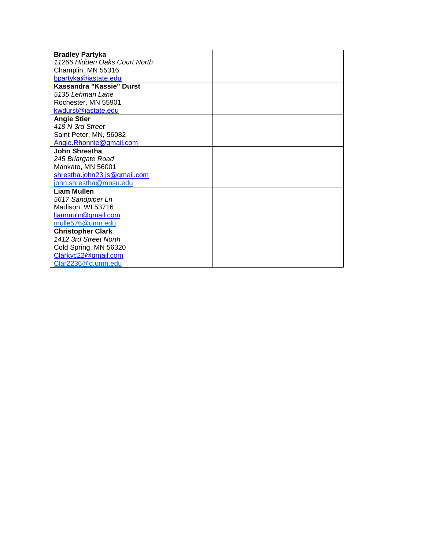| <b>Bradley Partyka</b>        |  |
|-------------------------------|--|
| 11266 Hidden Oaks Court North |  |
| Champlin, MN 55316            |  |
| bpartyka@iastate.edu          |  |
| Kassandra "Kassie" Durst      |  |
| 5135 Lehman Lane              |  |
| Rochester, MN 55901           |  |
| kwdurst@iastate.edu           |  |
| <b>Angie Stier</b>            |  |
| 418 N 3rd Street              |  |
| Saint Peter, MN, 56082        |  |
| Angie.Rhonnie@gmail.com       |  |
| John Shrestha                 |  |
| 245 Briargate Road            |  |
| Mankato, MN 56001             |  |
| shrestha.john23.js@gmail.com  |  |
| john.shrestha@mnsu.edu        |  |
| Liam Mullen                   |  |
| 5617 Sandpiper Ln             |  |
| Madison, WI 53716             |  |
| liammuln@gmail.com            |  |
| mulle576@umn.edu              |  |
| <b>Christopher Clark</b>      |  |
| 1412 3rd Street North         |  |
| Cold Spring, MN 56320         |  |
| Clarkyc22@gmail.com           |  |
| Clar2236@d.umn.edu            |  |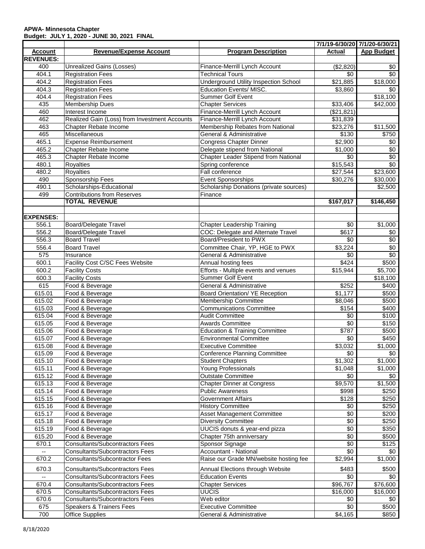#### **APWA- Minnesota Chapter Budget: JULY 1, 2020 - JUNE 30, 2021 FINAL**

|                          |                                               |                                              |                      | 7/1/19-6/30/20 7/1/20-6/30/21 |
|--------------------------|-----------------------------------------------|----------------------------------------------|----------------------|-------------------------------|
| <b>Account</b>           | <b>Revenue/Expense Account</b>                | <b>Program Description</b>                   | <b>Actual</b>        | <b>App Budget</b>             |
| <b>REVENUES:</b>         |                                               |                                              |                      |                               |
| 400                      | Unrealized Gains (Losses)                     | Finance-Merrill Lynch Account                | (\$2,820)            | \$0                           |
| 404.1                    | <b>Registration Fees</b>                      | <b>Technical Tours</b>                       | \$0                  | $\sqrt{6}$                    |
| 404.2                    | <b>Registration Fees</b>                      | <b>Underground Utility Inspection School</b> | \$21,885             | \$18,000                      |
| 404.3                    | <b>Registration Fees</b>                      | Education Events/ MISC.                      | \$3,860              | \$0                           |
| 404.4                    | <b>Registration Fees</b>                      | <b>Summer Golf Event</b>                     |                      | \$18,100                      |
| 435                      | <b>Membership Dues</b>                        | <b>Chapter Services</b>                      | \$33,406             | \$42,000                      |
| 460                      | Interest Income                               | Finance-Merrill Lynch Account                | (\$21,821)           |                               |
| 462                      | Realized Gain (Loss) from Investment Accounts | Finance-Merrill Lynch Account                | $\overline{$}31,839$ |                               |
| 463                      | <b>Chapter Rebate Income</b>                  | Membership Rebates from National             | \$23,276             | \$11,500                      |
| 465                      | Miscellaneous                                 | General & Administrative                     | \$130                | \$750                         |
| 465.1                    | <b>Expense Reimbursement</b>                  | <b>Congress Chapter Dinner</b>               | \$2,900              | \$0                           |
| 465.2                    | Chapter Rebate Income                         | Delegate stipend from National               | \$1,000              | $\sqrt{6}$                    |
| 465.3                    | Chapter Rebate Income                         | Chapter Leader Stipend from National         | $\sqrt{6}$           | \$0                           |
| 480.1                    | Royalties                                     | Spring conference                            | \$15,543             | \$0                           |
| 480.2                    | Royalties                                     | Fall conference                              | \$27,544             | \$23,600                      |
| 490                      | Sponsorship Fees                              | Event Sponsorships                           | \$30,276             | \$30,000                      |
| 490.1                    | Scholarships-Educational                      | Scholarship Donations (private sources)      |                      | \$2,500                       |
| 499                      | <b>Contributions from Reserves</b>            | Finance                                      |                      |                               |
|                          | <b>TOTAL REVENUE</b>                          |                                              | \$167,017            | \$146,450                     |
|                          |                                               |                                              |                      |                               |
| <b>EXPENSES:</b>         |                                               |                                              |                      |                               |
| 556.1                    | <b>Board/Delegate Travel</b>                  | <b>Chapter Leadership Training</b>           | \$0                  | \$1,000                       |
| 556.2                    | <b>Board/Delegate Travel</b>                  | COC: Delegate and Alternate Travel           | \$617                | \$0                           |
| 556.3                    | <b>Board Travel</b>                           | Board/President to PWX                       | $\sqrt{6}$           | $\sqrt{6}$                    |
| 556.4                    | <b>Board Travel</b>                           | Committee Chair, YP, HGE to PWX              | \$3,224              | \$0                           |
| 575                      | Insurance                                     | General & Administrative                     | \$0                  | \$0                           |
| 600.1                    | Facility Cost C/SC Fees Website               | Annual hosting fees                          | \$424                | \$500                         |
| 600.2                    | <b>Facility Costs</b>                         | Efforts - Multiple events and venues         | \$15,944             | \$5,700                       |
| 600.3                    | <b>Facility Costs</b>                         | <b>Summer Golf Event</b>                     |                      | \$18,100                      |
| 615                      | Food & Beverage                               | General & Administrative                     | \$252                | \$400                         |
| 615.01                   | Food & Beverage                               | Board Orientation/ YE Reception              | \$1,177              | \$500                         |
| 615.02                   | Food & Beverage                               | Membership Committee                         | \$8,046              | \$500                         |
| 615.03                   | Food & Beverage                               | <b>Communications Committee</b>              | \$154                | \$400                         |
| 615.04                   | Food & Beverage                               | <b>Audit Committee</b>                       | \$0                  | \$100                         |
| 615.05                   | Food & Beverage                               | <b>Awards Committee</b>                      | $\sqrt{6}$           | \$150                         |
| 615.06                   | Food & Beverage                               | <b>Education &amp; Training Committee</b>    | $\sqrt{$787}$        | \$500                         |
| 615.07                   | Food & Beverage                               | <b>Environmental Committee</b>               | $\sqrt{6}$           | \$450                         |
| 615.08                   | Food & Beverage                               | <b>Executive Committee</b>                   | \$3,032              | \$1,000                       |
| 615.09                   | Food & Beverage                               | <b>Conference Planning Committee</b>         | \$0                  | \$0                           |
| 615.10                   | Food & Beverage                               | <b>Student Chapters</b>                      | \$1,302              | \$1,000                       |
| 615.11                   | Food & Beverage                               | Young Professionals                          | \$1,048              | \$1,000                       |
| 615.12                   | Food & Beverage                               | <b>Outstate Committee</b>                    | \$0                  | \$0                           |
| 615.13                   | Food & Beverage                               | <b>Chapter Dinner at Congress</b>            | \$9,570              | $\overline{$1,500}$           |
| 615.14                   | Food & Beverage                               | <b>Public Awareness</b>                      | \$998                | \$250                         |
| 615.15                   | Food & Beverage                               | <b>Government Affairs</b>                    | \$128                | \$250                         |
| 615.16                   | Food & Beverage                               | <b>History Committee</b>                     | \$0                  | \$250                         |
| 615.17                   | Food & Beverage                               | Asset Management Committee                   | \$0                  | \$200                         |
| 615.18                   | Food & Beverage                               | <b>Diversity Committee</b>                   | $\sqrt[6]{}$         | \$250                         |
| 615.19                   | Food & Beverage                               | UUCIS donuts & year-end pizza                | \$0                  | \$350                         |
| 615.20                   | Food & Beverage                               | Chapter 75th anniversary                     | \$0                  | \$500                         |
| 670.1                    | <b>Consultants/Subcontractors Fees</b>        | Sponsor Signage                              | $\sqrt[6]{}$         | $\overline{$125}$             |
| --                       | <b>Consultants/Subcontractors Fees</b>        | Accountant - National                        | $\sqrt{6}$           | \$0                           |
| 670.2                    | <b>Consultants/Subcontractor Fees</b>         | Raise our Grade MN/website hosting fee       | \$2,994              | $\overline{$}1,000$           |
|                          |                                               |                                              |                      |                               |
| 670.3                    | <b>Consultants/Subcontractors Fees</b>        | Annual Elections through Website             | \$483                | \$500                         |
| $\overline{\phantom{a}}$ | <b>Consultants/Subcontractors Fees</b>        | <b>Education Events</b>                      | \$0                  | \$0                           |
| 670.4                    | <b>Consultants/Subcontractors Fees</b>        | <b>Chapter Services</b>                      | \$96,767             | \$76,600                      |
| 670.5                    | <b>Consultants/Subcontractors Fees</b>        | <b>UUCIS</b>                                 | $\overline{$}16,000$ | \$16,000                      |
| 670.6                    | <b>Consultants/Subcontractors Fees</b>        | Web editor                                   | \$0                  | \$0                           |
| 675                      | Speakers & Trainers Fees                      | <b>Executive Committee</b>                   | \$0                  | \$500                         |
| 700                      | <b>Office Supplies</b>                        | General & Administrative                     | \$4,165              | \$850                         |